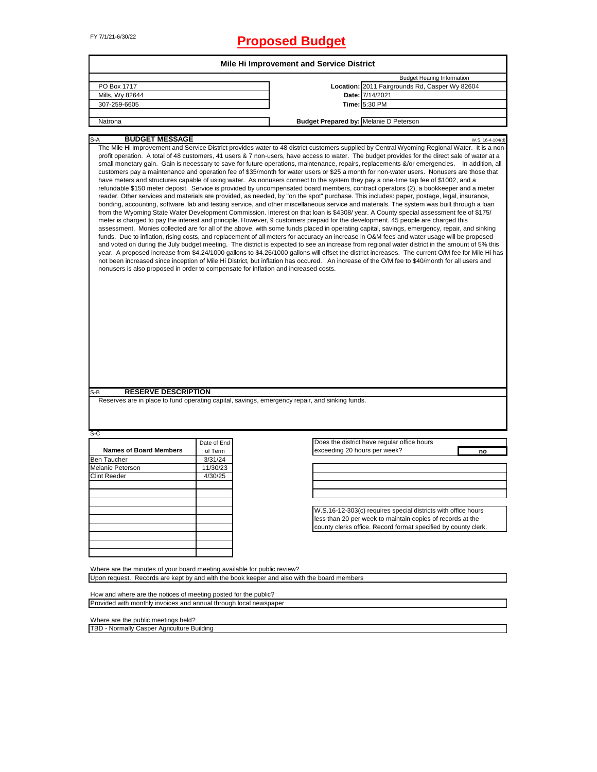# FY 7/1/21-6/30/22 **Proposed Budget**

|                                                                                                       |                     | <b>Mile Hi Improvement and Service District</b> |                                                                                                                                                                                                                                                                                                                                                                                                                                                                                                                                                                                                                                                                                                                                                                                                                                                                                                                                                                                                                                                                                                                                                                                                                                                                                                                                                                                                                                                                                                                                                                                                                                                                                                                                                                                                                                                                                                                                                                                                                                                    |  |  |  |
|-------------------------------------------------------------------------------------------------------|---------------------|-------------------------------------------------|----------------------------------------------------------------------------------------------------------------------------------------------------------------------------------------------------------------------------------------------------------------------------------------------------------------------------------------------------------------------------------------------------------------------------------------------------------------------------------------------------------------------------------------------------------------------------------------------------------------------------------------------------------------------------------------------------------------------------------------------------------------------------------------------------------------------------------------------------------------------------------------------------------------------------------------------------------------------------------------------------------------------------------------------------------------------------------------------------------------------------------------------------------------------------------------------------------------------------------------------------------------------------------------------------------------------------------------------------------------------------------------------------------------------------------------------------------------------------------------------------------------------------------------------------------------------------------------------------------------------------------------------------------------------------------------------------------------------------------------------------------------------------------------------------------------------------------------------------------------------------------------------------------------------------------------------------------------------------------------------------------------------------------------------------|--|--|--|
|                                                                                                       |                     |                                                 | <b>Budget Hearing Information</b>                                                                                                                                                                                                                                                                                                                                                                                                                                                                                                                                                                                                                                                                                                                                                                                                                                                                                                                                                                                                                                                                                                                                                                                                                                                                                                                                                                                                                                                                                                                                                                                                                                                                                                                                                                                                                                                                                                                                                                                                                  |  |  |  |
| PO Box 1717                                                                                           |                     |                                                 | Location: 2011 Fairgrounds Rd, Casper Wy 82604                                                                                                                                                                                                                                                                                                                                                                                                                                                                                                                                                                                                                                                                                                                                                                                                                                                                                                                                                                                                                                                                                                                                                                                                                                                                                                                                                                                                                                                                                                                                                                                                                                                                                                                                                                                                                                                                                                                                                                                                     |  |  |  |
| Mills, Wy 82644                                                                                       |                     |                                                 | Date: 7/14/2021                                                                                                                                                                                                                                                                                                                                                                                                                                                                                                                                                                                                                                                                                                                                                                                                                                                                                                                                                                                                                                                                                                                                                                                                                                                                                                                                                                                                                                                                                                                                                                                                                                                                                                                                                                                                                                                                                                                                                                                                                                    |  |  |  |
| 307-259-6605                                                                                          |                     |                                                 | Time: 5:30 PM                                                                                                                                                                                                                                                                                                                                                                                                                                                                                                                                                                                                                                                                                                                                                                                                                                                                                                                                                                                                                                                                                                                                                                                                                                                                                                                                                                                                                                                                                                                                                                                                                                                                                                                                                                                                                                                                                                                                                                                                                                      |  |  |  |
| Natrona                                                                                               |                     | <b>Budget Prepared by: Melanie D Peterson</b>   |                                                                                                                                                                                                                                                                                                                                                                                                                                                                                                                                                                                                                                                                                                                                                                                                                                                                                                                                                                                                                                                                                                                                                                                                                                                                                                                                                                                                                                                                                                                                                                                                                                                                                                                                                                                                                                                                                                                                                                                                                                                    |  |  |  |
|                                                                                                       |                     |                                                 |                                                                                                                                                                                                                                                                                                                                                                                                                                                                                                                                                                                                                                                                                                                                                                                                                                                                                                                                                                                                                                                                                                                                                                                                                                                                                                                                                                                                                                                                                                                                                                                                                                                                                                                                                                                                                                                                                                                                                                                                                                                    |  |  |  |
| <b>BUDGET MESSAGE</b>                                                                                 |                     |                                                 | W.S. 16-4-104(d)<br>The Mile Hi Improvement and Service District provides water to 48 district customers supplied by Central Wyoming Regional Water. It is a non-                                                                                                                                                                                                                                                                                                                                                                                                                                                                                                                                                                                                                                                                                                                                                                                                                                                                                                                                                                                                                                                                                                                                                                                                                                                                                                                                                                                                                                                                                                                                                                                                                                                                                                                                                                                                                                                                                  |  |  |  |
| nonusers is also proposed in order to compensate for inflation and increased costs.                   |                     |                                                 | profit operation. A total of 48 customers, 41 users & 7 non-users, have access to water. The budget provides for the direct sale of water at a<br>small monetary gain. Gain is necessary to save for future operations, maintenance, repairs, replacements &/or emergencies. In addition, all<br>customers pay a maintenance and operation fee of \$35/month for water users or \$25 a month for non-water users. Nonusers are those that<br>have meters and structures capable of using water. As nonusers connect to the system they pay a one-time tap fee of \$1002, and a<br>refundable \$150 meter deposit. Service is provided by uncompensated board members, contract operators (2), a bookkeeper and a meter<br>reader. Other services and materials are provided, as needed, by "on the spot" purchase. This includes: paper, postage, legal, insurance,<br>bonding, accounting, software, lab and testing service, and other miscellaneous service and materials. The system was built through a loan<br>from the Wyoming State Water Development Commission. Interest on that loan is \$4308/year. A County special assessment fee of \$175/<br>meter is charged to pay the interest and principle. However, 9 customers prepaid for the development. 45 people are charged this<br>assessment. Monies collected are for all of the above, with some funds placed in operating capital, savings, emergency, repair, and sinking<br>funds. Due to inflation, rising costs, and replacement of all meters for accuracy an increase in O&M fees and water usage will be proposed<br>and voted on during the July budget meeting. The district is expected to see an increase from regional water district in the amount of 5% this<br>year. A proposed increase from \$4.24/1000 gallons to \$4.26/1000 gallons will offset the district increases. The current O/M fee for Mile Hi has<br>not been increased since inception of Mile Hi District, but inflation has occured. An increase of the O/M fee to \$40/month for all users and |  |  |  |
| <b>RESERVE DESCRIPTION</b><br>$S-B$                                                                   |                     |                                                 |                                                                                                                                                                                                                                                                                                                                                                                                                                                                                                                                                                                                                                                                                                                                                                                                                                                                                                                                                                                                                                                                                                                                                                                                                                                                                                                                                                                                                                                                                                                                                                                                                                                                                                                                                                                                                                                                                                                                                                                                                                                    |  |  |  |
| Reserves are in place to fund operating capital, savings, emergency repair, and sinking funds.<br>S-C |                     |                                                 |                                                                                                                                                                                                                                                                                                                                                                                                                                                                                                                                                                                                                                                                                                                                                                                                                                                                                                                                                                                                                                                                                                                                                                                                                                                                                                                                                                                                                                                                                                                                                                                                                                                                                                                                                                                                                                                                                                                                                                                                                                                    |  |  |  |
|                                                                                                       | Date of End         |                                                 | Does the district have regular office hours                                                                                                                                                                                                                                                                                                                                                                                                                                                                                                                                                                                                                                                                                                                                                                                                                                                                                                                                                                                                                                                                                                                                                                                                                                                                                                                                                                                                                                                                                                                                                                                                                                                                                                                                                                                                                                                                                                                                                                                                        |  |  |  |
| <b>Names of Board Members</b>                                                                         | of Term             | exceeding 20 hours per week?                    | no                                                                                                                                                                                                                                                                                                                                                                                                                                                                                                                                                                                                                                                                                                                                                                                                                                                                                                                                                                                                                                                                                                                                                                                                                                                                                                                                                                                                                                                                                                                                                                                                                                                                                                                                                                                                                                                                                                                                                                                                                                                 |  |  |  |
| <b>Ben Taucher</b>                                                                                    | 3/31/24             |                                                 |                                                                                                                                                                                                                                                                                                                                                                                                                                                                                                                                                                                                                                                                                                                                                                                                                                                                                                                                                                                                                                                                                                                                                                                                                                                                                                                                                                                                                                                                                                                                                                                                                                                                                                                                                                                                                                                                                                                                                                                                                                                    |  |  |  |
| Melanie Peterson<br><b>Clint Reeder</b>                                                               | 11/30/23<br>4/30/25 |                                                 |                                                                                                                                                                                                                                                                                                                                                                                                                                                                                                                                                                                                                                                                                                                                                                                                                                                                                                                                                                                                                                                                                                                                                                                                                                                                                                                                                                                                                                                                                                                                                                                                                                                                                                                                                                                                                                                                                                                                                                                                                                                    |  |  |  |
|                                                                                                       |                     |                                                 |                                                                                                                                                                                                                                                                                                                                                                                                                                                                                                                                                                                                                                                                                                                                                                                                                                                                                                                                                                                                                                                                                                                                                                                                                                                                                                                                                                                                                                                                                                                                                                                                                                                                                                                                                                                                                                                                                                                                                                                                                                                    |  |  |  |
|                                                                                                       |                     |                                                 |                                                                                                                                                                                                                                                                                                                                                                                                                                                                                                                                                                                                                                                                                                                                                                                                                                                                                                                                                                                                                                                                                                                                                                                                                                                                                                                                                                                                                                                                                                                                                                                                                                                                                                                                                                                                                                                                                                                                                                                                                                                    |  |  |  |
|                                                                                                       |                     |                                                 |                                                                                                                                                                                                                                                                                                                                                                                                                                                                                                                                                                                                                                                                                                                                                                                                                                                                                                                                                                                                                                                                                                                                                                                                                                                                                                                                                                                                                                                                                                                                                                                                                                                                                                                                                                                                                                                                                                                                                                                                                                                    |  |  |  |
|                                                                                                       |                     |                                                 | W.S.16-12-303(c) requires special districts with office hours                                                                                                                                                                                                                                                                                                                                                                                                                                                                                                                                                                                                                                                                                                                                                                                                                                                                                                                                                                                                                                                                                                                                                                                                                                                                                                                                                                                                                                                                                                                                                                                                                                                                                                                                                                                                                                                                                                                                                                                      |  |  |  |
|                                                                                                       |                     |                                                 | less than 20 per week to maintain copies of records at the                                                                                                                                                                                                                                                                                                                                                                                                                                                                                                                                                                                                                                                                                                                                                                                                                                                                                                                                                                                                                                                                                                                                                                                                                                                                                                                                                                                                                                                                                                                                                                                                                                                                                                                                                                                                                                                                                                                                                                                         |  |  |  |
|                                                                                                       |                     |                                                 | county clerks office. Record format specified by county clerk.                                                                                                                                                                                                                                                                                                                                                                                                                                                                                                                                                                                                                                                                                                                                                                                                                                                                                                                                                                                                                                                                                                                                                                                                                                                                                                                                                                                                                                                                                                                                                                                                                                                                                                                                                                                                                                                                                                                                                                                     |  |  |  |
|                                                                                                       |                     |                                                 |                                                                                                                                                                                                                                                                                                                                                                                                                                                                                                                                                                                                                                                                                                                                                                                                                                                                                                                                                                                                                                                                                                                                                                                                                                                                                                                                                                                                                                                                                                                                                                                                                                                                                                                                                                                                                                                                                                                                                                                                                                                    |  |  |  |
|                                                                                                       |                     |                                                 |                                                                                                                                                                                                                                                                                                                                                                                                                                                                                                                                                                                                                                                                                                                                                                                                                                                                                                                                                                                                                                                                                                                                                                                                                                                                                                                                                                                                                                                                                                                                                                                                                                                                                                                                                                                                                                                                                                                                                                                                                                                    |  |  |  |
|                                                                                                       |                     |                                                 |                                                                                                                                                                                                                                                                                                                                                                                                                                                                                                                                                                                                                                                                                                                                                                                                                                                                                                                                                                                                                                                                                                                                                                                                                                                                                                                                                                                                                                                                                                                                                                                                                                                                                                                                                                                                                                                                                                                                                                                                                                                    |  |  |  |
|                                                                                                       |                     |                                                 |                                                                                                                                                                                                                                                                                                                                                                                                                                                                                                                                                                                                                                                                                                                                                                                                                                                                                                                                                                                                                                                                                                                                                                                                                                                                                                                                                                                                                                                                                                                                                                                                                                                                                                                                                                                                                                                                                                                                                                                                                                                    |  |  |  |
| Where are the minutes of your board meeting available for public review?                              |                     |                                                 |                                                                                                                                                                                                                                                                                                                                                                                                                                                                                                                                                                                                                                                                                                                                                                                                                                                                                                                                                                                                                                                                                                                                                                                                                                                                                                                                                                                                                                                                                                                                                                                                                                                                                                                                                                                                                                                                                                                                                                                                                                                    |  |  |  |
| Upon request. Records are kept by and with the book keeper and also with the board members            |                     |                                                 |                                                                                                                                                                                                                                                                                                                                                                                                                                                                                                                                                                                                                                                                                                                                                                                                                                                                                                                                                                                                                                                                                                                                                                                                                                                                                                                                                                                                                                                                                                                                                                                                                                                                                                                                                                                                                                                                                                                                                                                                                                                    |  |  |  |
|                                                                                                       |                     |                                                 |                                                                                                                                                                                                                                                                                                                                                                                                                                                                                                                                                                                                                                                                                                                                                                                                                                                                                                                                                                                                                                                                                                                                                                                                                                                                                                                                                                                                                                                                                                                                                                                                                                                                                                                                                                                                                                                                                                                                                                                                                                                    |  |  |  |
| How and where are the notices of meeting posted for the public?                                       |                     |                                                 |                                                                                                                                                                                                                                                                                                                                                                                                                                                                                                                                                                                                                                                                                                                                                                                                                                                                                                                                                                                                                                                                                                                                                                                                                                                                                                                                                                                                                                                                                                                                                                                                                                                                                                                                                                                                                                                                                                                                                                                                                                                    |  |  |  |
| Provided with monthly invoices and annual through local newspaper                                     |                     |                                                 |                                                                                                                                                                                                                                                                                                                                                                                                                                                                                                                                                                                                                                                                                                                                                                                                                                                                                                                                                                                                                                                                                                                                                                                                                                                                                                                                                                                                                                                                                                                                                                                                                                                                                                                                                                                                                                                                                                                                                                                                                                                    |  |  |  |
|                                                                                                       |                     |                                                 |                                                                                                                                                                                                                                                                                                                                                                                                                                                                                                                                                                                                                                                                                                                                                                                                                                                                                                                                                                                                                                                                                                                                                                                                                                                                                                                                                                                                                                                                                                                                                                                                                                                                                                                                                                                                                                                                                                                                                                                                                                                    |  |  |  |
| Where are the public meetings held?                                                                   |                     |                                                 |                                                                                                                                                                                                                                                                                                                                                                                                                                                                                                                                                                                                                                                                                                                                                                                                                                                                                                                                                                                                                                                                                                                                                                                                                                                                                                                                                                                                                                                                                                                                                                                                                                                                                                                                                                                                                                                                                                                                                                                                                                                    |  |  |  |

 $\overline{\phantom{a}}$ 

TBD - Normally Casper Agriculture Building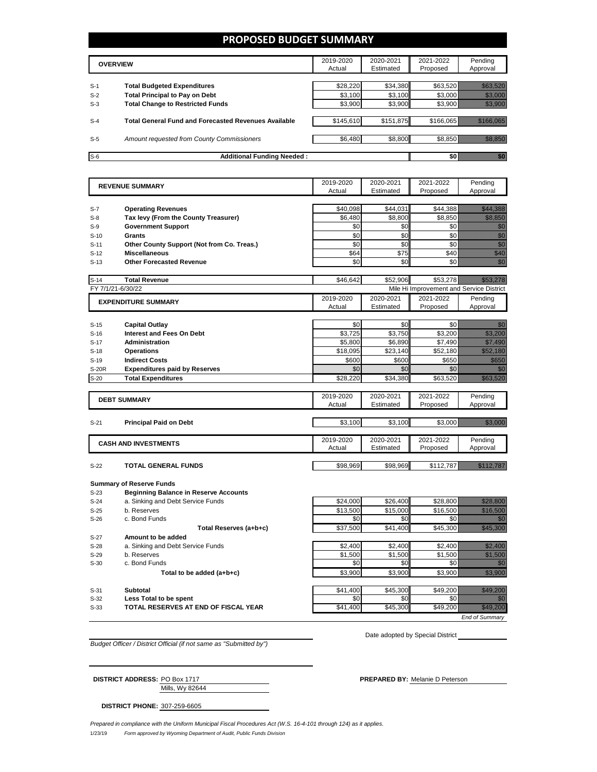## **PROPOSED BUDGET SUMMARY**

|       | <b>OVERVIEW</b>                                             | 2019-2020<br>Actual | 2020-2021<br>Estimated | 2021-2022<br>Proposed | Pending<br>Approval |
|-------|-------------------------------------------------------------|---------------------|------------------------|-----------------------|---------------------|
| $S-1$ | <b>Total Budgeted Expenditures</b>                          | \$28,220            | \$34,380               | \$63,520              |                     |
| $S-2$ | <b>Total Principal to Pay on Debt</b>                       | \$3,100             | \$3,100                | \$3.000               |                     |
| $S-3$ | <b>Total Change to Restricted Funds</b>                     | \$3,900             | \$3,900                | \$3,900               |                     |
|       |                                                             |                     |                        |                       |                     |
| $S-4$ | <b>Total General Fund and Forecasted Revenues Available</b> | \$145,610           | \$151,875              | \$166,065             |                     |
|       |                                                             |                     |                        |                       |                     |
| $S-5$ | Amount requested from County Commissioners                  | \$6,480             | \$8,800                | \$8,850               |                     |
| $S-6$ | <b>Additional Funding Needed:</b>                           |                     |                        |                       |                     |

|        | <b>REVENUE SUMMARY</b>                       |           | 2020-2021 | 2021-2022                                | Pending                                                                                                                                                                                                                          |
|--------|----------------------------------------------|-----------|-----------|------------------------------------------|----------------------------------------------------------------------------------------------------------------------------------------------------------------------------------------------------------------------------------|
|        |                                              | Actual    | Estimated | Proposed                                 | Approval                                                                                                                                                                                                                         |
|        |                                              |           |           |                                          |                                                                                                                                                                                                                                  |
| $S-7$  | <b>Operating Revenues</b>                    | \$40.098  | \$44,031  | \$44.388                                 | <u>Till Start från 1988 och den start i Start f</u>                                                                                                                                                                              |
| $S-8$  | Tax levy (From the County Treasurer)         | \$6.480   | \$8.800   | \$8.850                                  | <u> Hillian S</u>                                                                                                                                                                                                                |
| $S-9$  | <b>Government Support</b>                    | \$0       | \$0       | \$0                                      | en de la familie de la familie de la familie de la familie de la familie de la familie de la familie de la fam<br>Espainia                                                                                                       |
| $S-10$ | Grants                                       | \$0       | \$0       | \$0                                      | entalist<br>Viktoria<br>Viktoria                                                                                                                                                                                                 |
| $S-11$ | Other County Support (Not from Co. Treas.)   | \$0       | \$0       | \$0                                      |                                                                                                                                                                                                                                  |
| $S-12$ | <b>Miscellaneous</b>                         | \$64      | \$75      | \$40                                     | WANDOO WAXAA MID                                                                                                                                                                                                                 |
| $S-13$ | <b>Other Forecasted Revenue</b>              | \$0       | \$0       | \$0                                      | en de la familie de la familie de la familie de la familie de la familie de la familie de la familie de la fam<br>Construction de la familie de la familie de la familie de la familie de la familie de la familie de la familie |
| $S-14$ | <b>Total Revenue</b>                         | \$46,642  | \$52,906  | \$53,278                                 | <u> Maritim Ma</u>                                                                                                                                                                                                               |
|        | FY 7/1/21-6/30/22                            |           |           | Mile Hi Improvement and Service District |                                                                                                                                                                                                                                  |
|        | <b>EXPENDITURE SUMMARY</b>                   | 2019-2020 | 2020-2021 | 2021-2022                                | Pending                                                                                                                                                                                                                          |
|        |                                              | Actual    | Estimated | Proposed                                 | Approval                                                                                                                                                                                                                         |
|        |                                              |           |           |                                          |                                                                                                                                                                                                                                  |
| $S-15$ | <b>Capital Outlay</b>                        | \$0       | \$0       | \$0                                      | en 1999.<br>Sido                                                                                                                                                                                                                 |
| $S-16$ | <b>Interest and Fees On Debt</b>             | \$3,725   | \$3.750   | \$3,200                                  | <u>till andra</u>                                                                                                                                                                                                                |
| $S-17$ | <b>Administration</b>                        | \$5,800   | \$6,890   | \$7,490                                  | <u>till fram en sta</u>                                                                                                                                                                                                          |
| $S-18$ | <b>Operations</b>                            | \$18,095  | \$23.140  | \$52.180                                 | <u> Hillian Sa</u>                                                                                                                                                                                                               |
| $S-19$ | <b>Indirect Costs</b>                        | \$600     | \$600     | \$650                                    |                                                                                                                                                                                                                                  |
| S-20R  | <b>Expenditures paid by Reserves</b>         | \$0       | \$0       | \$0                                      | an dhe                                                                                                                                                                                                                           |
| $S-20$ | <b>Total Expenditures</b>                    | \$28,220  | \$34,380  | \$63,520                                 | <u> Kalèndher Ka</u>                                                                                                                                                                                                             |
|        |                                              | 2019-2020 | 2020-2021 | 2021-2022                                | Pending                                                                                                                                                                                                                          |
|        | <b>DEBT SUMMARY</b>                          | Actual    | Estimated | Proposed                                 | Approval                                                                                                                                                                                                                         |
|        |                                              |           |           |                                          |                                                                                                                                                                                                                                  |
| $S-21$ | <b>Principal Paid on Debt</b>                | \$3,100   | \$3,100   | \$3,000                                  | <u> Hillian Sa</u>                                                                                                                                                                                                               |
|        |                                              |           |           |                                          |                                                                                                                                                                                                                                  |
|        | <b>CASH AND INVESTMENTS</b>                  | 2019-2020 | 2020-2021 | 2021-2022                                | Pending                                                                                                                                                                                                                          |
|        |                                              | Actual    | Estimated | Proposed                                 | Approval                                                                                                                                                                                                                         |
| $S-22$ | <b>TOTAL GENERAL FUNDS</b>                   | \$98,969  | \$98,969  | \$112,787                                | <u>Maria Maria I</u>                                                                                                                                                                                                             |
|        |                                              |           |           |                                          |                                                                                                                                                                                                                                  |
|        | <b>Summary of Reserve Funds</b>              |           |           |                                          |                                                                                                                                                                                                                                  |
| $S-23$ | <b>Beginning Balance in Reserve Accounts</b> |           |           |                                          |                                                                                                                                                                                                                                  |
| $S-24$ | a. Sinking and Debt Service Funds            | \$24,000  | \$26,400  | \$28,800                                 | <u>till heldstå</u>                                                                                                                                                                                                              |
| $S-25$ | b. Reserves                                  | \$13,500  | \$15,000  | \$16,500                                 | <u>Maria Sa</u>                                                                                                                                                                                                                  |
| $S-26$ | c. Bond Funds                                | \$0       | \$0       | \$0                                      | en de la familie de la familie de la familie de la familie de la familie de la familie de la familie de la fa<br>Constitution de la familie de la familie de la familie de la familie de la familie de la familie de la familie  |
|        | Total Reserves (a+b+c)                       | \$37,500  | \$41,400  | \$45,300                                 | <u>Tillisto</u>                                                                                                                                                                                                                  |
| $S-27$ | Amount to be added                           |           |           |                                          |                                                                                                                                                                                                                                  |
| $S-28$ | a. Sinking and Debt Service Funds            | \$2,400   | \$2,400   | \$2,400                                  | <u>Maria Sa</u>                                                                                                                                                                                                                  |
| $S-29$ | b. Reserves                                  | \$1,500   | \$1,500   | \$1,500                                  | <u>Maria Sant</u>                                                                                                                                                                                                                |
| $S-30$ | c. Bond Funds                                | \$0       | \$0       | \$0                                      | 7                                                                                                                                                                                                                                |
|        | Total to be added (a+b+c)                    | \$3,900   | \$3,900   | \$3,900                                  | <u>till fram</u>                                                                                                                                                                                                                 |
| $S-31$ | Subtotal                                     | \$41,400  | \$45,300  | \$49,200                                 | <u> Hillings</u>                                                                                                                                                                                                                 |
| $S-32$ | Less Total to be spent                       | \$0       | \$0       | \$0                                      |                                                                                                                                                                                                                                  |
| $S-33$ | TOTAL RESERVES AT END OF FISCAL YEAR         | \$41,400  | \$45,300  | \$49,200                                 | <u> Maria Sant</u>                                                                                                                                                                                                               |
|        |                                              |           |           |                                          |                                                                                                                                                                                                                                  |

*Budget Officer / District Official (if not same as "Submitted by")*

Date adopted by Special District

*End of Summary*

| <b>DISTRICT ADDRESS: PO Box 1717</b> |                 |
|--------------------------------------|-----------------|
|                                      | Mills, Wy 82644 |

**PREPARED BY: Melanie D Peterson** 

**DISTRICT PHONE:** 307-259-6605

1/23/19 *Form approved by Wyoming Department of Audit, Public Funds Division Prepared in compliance with the Uniform Municipal Fiscal Procedures Act (W.S. 16-4-101 through 124) as it applies.*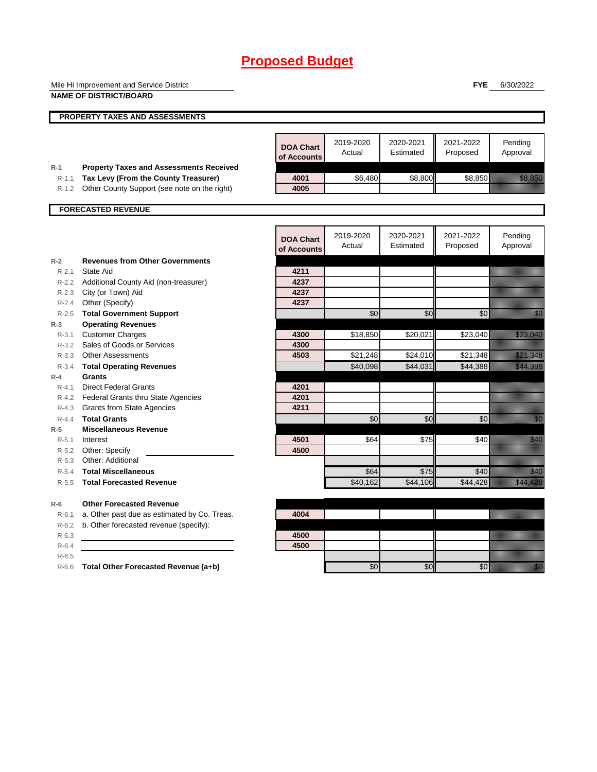|                    | Mile Hi Improvement and Service District                                             |                                 |                     |                        | <b>FYE</b>            | 6/30/2022                                                                                                                                                                                                                        |
|--------------------|--------------------------------------------------------------------------------------|---------------------------------|---------------------|------------------------|-----------------------|----------------------------------------------------------------------------------------------------------------------------------------------------------------------------------------------------------------------------------|
|                    | <b>NAME OF DISTRICT/BOARD</b>                                                        |                                 |                     |                        |                       |                                                                                                                                                                                                                                  |
|                    | PROPERTY TAXES AND ASSESSMENTS                                                       |                                 |                     |                        |                       |                                                                                                                                                                                                                                  |
|                    |                                                                                      |                                 |                     |                        |                       |                                                                                                                                                                                                                                  |
|                    |                                                                                      | <b>DOA Chart</b><br>of Accounts | 2019-2020<br>Actual | 2020-2021<br>Estimated | 2021-2022<br>Proposed | Pending<br>Approval                                                                                                                                                                                                              |
| $R-1$<br>$R - 1.1$ | <b>Property Taxes and Assessments Received</b>                                       | 4001                            | \$6,480             | \$8,800                | \$8,850               | <u>tion and</u>                                                                                                                                                                                                                  |
| $R-1.2$            | Tax Levy (From the County Treasurer)<br>Other County Support (see note on the right) | 4005                            |                     |                        |                       |                                                                                                                                                                                                                                  |
|                    |                                                                                      |                                 |                     |                        |                       |                                                                                                                                                                                                                                  |
|                    | <b>FORECASTED REVENUE</b>                                                            |                                 |                     |                        |                       |                                                                                                                                                                                                                                  |
|                    |                                                                                      |                                 |                     |                        |                       |                                                                                                                                                                                                                                  |
|                    |                                                                                      | <b>DOA Chart</b><br>of Accounts | 2019-2020<br>Actual | 2020-2021<br>Estimated | 2021-2022<br>Proposed | Pending<br>Approval                                                                                                                                                                                                              |
| $R-2$              | <b>Revenues from Other Governments</b>                                               |                                 |                     |                        |                       |                                                                                                                                                                                                                                  |
| $R - 2.1$          | State Aid                                                                            | 4211                            |                     |                        |                       |                                                                                                                                                                                                                                  |
|                    | R-2.2 Additional County Aid (non-treasurer)                                          | 4237                            |                     |                        |                       |                                                                                                                                                                                                                                  |
|                    | R-2.3 City (or Town) Aid                                                             | 4237                            |                     |                        |                       |                                                                                                                                                                                                                                  |
| $R - 2.4$          | Other (Specify)                                                                      | 4237                            |                     |                        |                       |                                                                                                                                                                                                                                  |
| $R - 2.5$          | <b>Total Government Support</b>                                                      |                                 | \$0                 | \$0                    | \$0                   | e di Sala                                                                                                                                                                                                                        |
| $R-3$<br>$R - 3.1$ | <b>Operating Revenues</b><br><b>Customer Charges</b>                                 | 4300                            | \$18,850            | \$20.021               | \$23,040              | <u> Killelli Sakson</u>                                                                                                                                                                                                          |
|                    | R-3.2 Sales of Goods or Services                                                     | 4300                            |                     |                        |                       |                                                                                                                                                                                                                                  |
| $R - 3.3$          | <b>Other Assessments</b>                                                             | 4503                            | \$21,248            | \$24,010               | \$21,348              | <u> Hillillin k</u>                                                                                                                                                                                                              |
| $R - 3.4$          | <b>Total Operating Revenues</b>                                                      |                                 | \$40,098            | \$44,031               | \$44,388              | <b>RADA ANG PADA ANG PADA ANG PADA ANG PADA ANG PADA ANG PADA ANG PADA ANG PADA ANG PADA ANG PADA ANG PADA ANG</b>                                                                                                               |
| $R-4$              | Grants                                                                               |                                 |                     |                        |                       |                                                                                                                                                                                                                                  |
| $R - 4.1$          | <b>Direct Federal Grants</b>                                                         | 4201                            |                     |                        |                       |                                                                                                                                                                                                                                  |
|                    | R-4.2 Federal Grants thru State Agencies                                             | 4201                            |                     |                        |                       |                                                                                                                                                                                                                                  |
| $R-4.3$            | <b>Grants from State Agencies</b>                                                    | 4211                            |                     |                        |                       |                                                                                                                                                                                                                                  |
| $R - 4.4$          | <b>Total Grants</b>                                                                  |                                 | \$0                 | \$0                    | \$0                   | en 1999.<br>Nord-Stadt Stadt Stadt Stadt Stadt Stadt Stadt Stadt Stadt Stadt Stadt Stadt Stadt Stadt Stadt Stadt Stadt Sta                                                                                                       |
| $R-5$              | <b>Miscellaneous Revenue</b>                                                         |                                 |                     |                        |                       |                                                                                                                                                                                                                                  |
| $R - 5.1$          | Interest                                                                             | 4501                            | \$64                | \$75                   | \$40                  | <u>Mariti I</u>                                                                                                                                                                                                                  |
| $R - 5.2$          | Other: Specify                                                                       | 4500                            |                     |                        |                       |                                                                                                                                                                                                                                  |
| $R-5.3$            | Other: Additional                                                                    |                                 |                     |                        |                       |                                                                                                                                                                                                                                  |
| $R-5.4$            | <b>Total Miscellaneous</b>                                                           |                                 | \$64                | \$75                   | \$40                  | en de la formation de la formation de la formation de la formation de la formation de la formation de la forma<br>En la formation de la formation de la formation de la formation de la formation de la formation de la formatio |
| $R - 5.5$          | <b>Total Forecasted Revenue</b>                                                      |                                 | \$40,162            | \$44,106               | \$44,428              | <u>istoriano e della contrada dell'India di San Francisco di San Francisco di San Francisco di San Francisco di </u>                                                                                                             |
| $R-6$              | <b>Other Forecasted Revenue</b>                                                      |                                 |                     |                        |                       |                                                                                                                                                                                                                                  |
| $R-6.1$            | a. Other past due as estimated by Co. Treas.                                         | 4004                            |                     |                        |                       |                                                                                                                                                                                                                                  |
| $R-6.2$            | b. Other forecasted revenue (specify):                                               |                                 |                     |                        |                       |                                                                                                                                                                                                                                  |
| $R-6.3$            |                                                                                      | 4500                            |                     |                        |                       |                                                                                                                                                                                                                                  |
| $R-6.4$            |                                                                                      | 4500                            |                     |                        |                       |                                                                                                                                                                                                                                  |
| $R-6.5$            |                                                                                      |                                 |                     |                        |                       |                                                                                                                                                                                                                                  |
|                    | R-6.6 Total Other Forecasted Revenue (a+b)                                           |                                 | \$0                 | \$0                    | \$0                   | en de la familie de la familie de la familie de la familie de la familie de la familie de la familie de la fam<br>De la familie de la familie de la familie de la familie de la familie de la familie de la familie de la famili |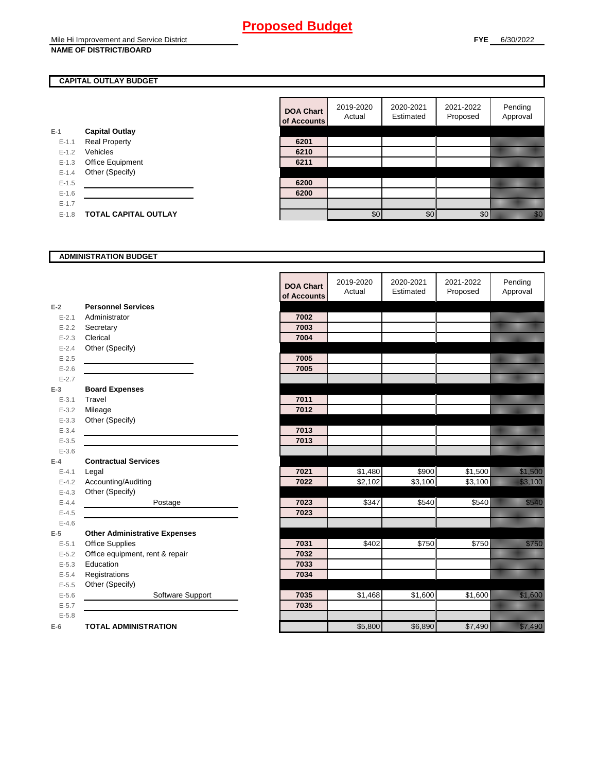## **CAPITAL OUTLAY BUDGET**

|           |                             | vi nuuv |
|-----------|-----------------------------|---------|
| E-1       | <b>Capital Outlay</b>       |         |
| $E - 1.1$ | <b>Real Property</b>        | 6201    |
| $E - 1.2$ | Vehicles                    | 6210    |
| $E-1.3$   | Office Equipment            | 6211    |
| $E - 1.4$ | Other (Specify)             |         |
| $E-1.5$   |                             | 6200    |
| $E - 1.6$ |                             | 6200    |
| $E - 1.7$ |                             |         |
| $E - 1.8$ | <b>TOTAL CAPITAL OUTLAY</b> |         |
|           |                             |         |

| <b>DOA Chart</b><br>of Accounts | 2019-2020<br>Actual | 2020-2021<br>Estimated | 2021-2022<br>Proposed | Pending<br>Approval |
|---------------------------------|---------------------|------------------------|-----------------------|---------------------|
|                                 |                     |                        |                       |                     |
| 6201                            |                     |                        |                       |                     |
| 6210                            |                     |                        |                       |                     |
| 6211                            |                     |                        |                       |                     |
|                                 |                     |                        |                       |                     |
| 6200                            |                     |                        |                       |                     |
| 6200                            |                     |                        |                       |                     |
|                                 |                     |                        |                       |                     |
|                                 | \$በ                 | \$1                    |                       |                     |

## **ADMINISTRATION BUDGET**

|           |                                      | <b>DOA Chart</b><br>of Accounts | 2019-2020<br>Actual | 2020-2021<br>Estimated | 2021-2022<br>Proposed | Pending<br>Approval                                                                                                  |
|-----------|--------------------------------------|---------------------------------|---------------------|------------------------|-----------------------|----------------------------------------------------------------------------------------------------------------------|
| $E-2$     | <b>Personnel Services</b>            |                                 |                     |                        |                       |                                                                                                                      |
| $E - 2.1$ | Administrator                        | 7002                            |                     |                        |                       |                                                                                                                      |
| $E-2.2$   | Secretary                            | 7003                            |                     |                        |                       |                                                                                                                      |
| $E - 2.3$ | Clerical                             | 7004                            |                     |                        |                       |                                                                                                                      |
| $E - 2.4$ | Other (Specify)                      |                                 |                     |                        |                       |                                                                                                                      |
| $E-2.5$   |                                      | 7005                            |                     |                        |                       |                                                                                                                      |
| $E - 2.6$ |                                      | 7005                            |                     |                        |                       |                                                                                                                      |
| $E - 2.7$ |                                      |                                 |                     |                        |                       |                                                                                                                      |
| $E-3$     | <b>Board Expenses</b>                |                                 |                     |                        |                       |                                                                                                                      |
| $E - 3.1$ | Travel                               | 7011                            |                     |                        |                       |                                                                                                                      |
| $E - 3.2$ | Mileage                              | 7012                            |                     |                        |                       |                                                                                                                      |
| $E - 3.3$ | Other (Specify)                      |                                 |                     |                        |                       |                                                                                                                      |
| $E - 3.4$ |                                      | 7013                            |                     |                        |                       |                                                                                                                      |
| $E - 3.5$ |                                      | 7013                            |                     |                        |                       |                                                                                                                      |
| $E-3.6$   |                                      |                                 |                     |                        |                       |                                                                                                                      |
| $E-4$     | <b>Contractual Services</b>          |                                 |                     |                        |                       |                                                                                                                      |
| $E - 4.1$ | Legal                                | 7021                            | \$1,480             | \$900                  | \$1,500               | <u> Million Sta</u>                                                                                                  |
| $E - 4.2$ | Accounting/Auditing                  | 7022                            | \$2,102             | \$3,100                | \$3,100               | <u>tionalist parallelist parallelist parallelist parallelist parallelist parallelist parallelist parallelist par</u> |
| $E - 4.3$ | Other (Specify)                      |                                 |                     |                        |                       |                                                                                                                      |
| $E-4.4$   | Postage                              | 7023                            | \$347               | \$540                  | \$540                 | a a an t-òrda                                                                                                        |
| $E-4.5$   |                                      | 7023                            |                     |                        |                       |                                                                                                                      |
| $E-4.6$   |                                      |                                 |                     |                        |                       |                                                                                                                      |
| $E-5$     | <b>Other Administrative Expenses</b> |                                 |                     |                        |                       |                                                                                                                      |
| $E - 5.1$ | <b>Office Supplies</b>               | 7031                            | \$402               | \$750                  | \$750                 | <u>tion in the se</u>                                                                                                |
| $E - 5.2$ | Office equipment, rent & repair      | 7032                            |                     |                        |                       |                                                                                                                      |
| $E - 5.3$ | Education                            | 7033                            |                     |                        |                       |                                                                                                                      |
| $E - 5.4$ | Registrations                        | 7034                            |                     |                        |                       |                                                                                                                      |
| $E-5.5$   | Other (Specify)                      |                                 |                     |                        |                       |                                                                                                                      |
| $E-5.6$   | Software Support                     | 7035                            | \$1,468             | \$1,600                | \$1,600               | <u>ti ka</u>                                                                                                         |
| $E - 5.7$ |                                      | 7035                            |                     |                        |                       |                                                                                                                      |
| $E - 5.8$ |                                      |                                 |                     |                        |                       |                                                                                                                      |
| $E-6$     | <b>TOTAL ADMINISTRATION</b>          |                                 | \$5,800             | \$6,890                | \$7,490               | genean<br>Chailtean                                                                                                  |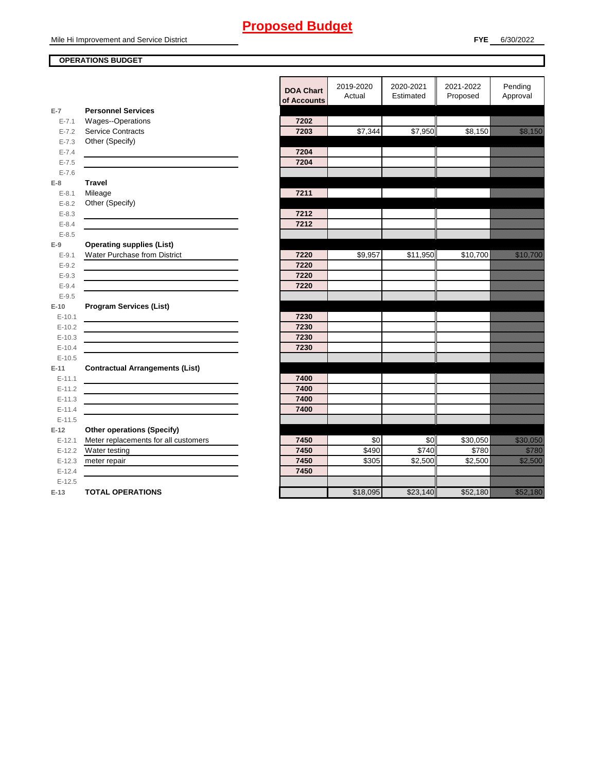#### **OPERATIONS BUDGET**

en de la familie de la familie de la familie de la familie de la familie de la familie de la familie de la fam<br>Décembre de la familie de la familie de la familie de la familie de la familie de la familie de la familie de en de la familie de la familie de la familie de la familie de la familie de la familie de la familie de la fa<br>Constitution de la familie de la familie de la familie de la familie de la familie de la familie de la familie en de la falsa de la falsa de la falsa de la falsa de la falsa de la falsa de la falsa de la falsa de la falsa<br>El falsa de la falsa de la falsa de la falsa de la falsa de la falsa de la falsa de la falsa de la falsa de la

|           |                                                              | <b>DOA Chart</b><br>of Accounts | 2019-2020<br>Actual | 2020-2021<br>Estimated | 2021-2022<br>Proposed | Pending<br>Approval                                                                                                                                                                                                              |
|-----------|--------------------------------------------------------------|---------------------------------|---------------------|------------------------|-----------------------|----------------------------------------------------------------------------------------------------------------------------------------------------------------------------------------------------------------------------------|
| $E-7$     | <b>Personnel Services</b>                                    |                                 |                     |                        |                       |                                                                                                                                                                                                                                  |
| $E - 7.1$ | Wages--Operations                                            | 7202                            |                     |                        |                       |                                                                                                                                                                                                                                  |
| $E - 7.2$ | Service Contracts                                            | 7203                            | \$7,344             | \$7,950                | \$8,150               | en en de forme de la forme de la forme de la forme de la forme de la forme de la forme de la forme de la form<br>En la forme de la forme de la forme de la forme de la forme de la forme de la forme de la forme de la forme d   |
| $E - 7.3$ | Other (Specify)                                              |                                 |                     |                        |                       |                                                                                                                                                                                                                                  |
| $E - 7.4$ |                                                              | 7204                            |                     |                        |                       |                                                                                                                                                                                                                                  |
| $E - 7.5$ |                                                              | 7204                            |                     |                        |                       |                                                                                                                                                                                                                                  |
| $E - 7.6$ |                                                              |                                 |                     |                        |                       |                                                                                                                                                                                                                                  |
| $E-8$     | <b>Travel</b>                                                |                                 |                     |                        |                       |                                                                                                                                                                                                                                  |
| $E-8.1$   | Mileage                                                      | 7211                            |                     |                        |                       |                                                                                                                                                                                                                                  |
| $E - 8.2$ | Other (Specify)                                              |                                 |                     |                        |                       |                                                                                                                                                                                                                                  |
| $E - 8.3$ |                                                              | 7212                            |                     |                        |                       |                                                                                                                                                                                                                                  |
| $E - 8.4$ |                                                              | 7212                            |                     |                        |                       |                                                                                                                                                                                                                                  |
| $E - 8.5$ |                                                              |                                 |                     |                        |                       |                                                                                                                                                                                                                                  |
| $E-9$     | <b>Operating supplies (List)</b>                             |                                 |                     |                        |                       |                                                                                                                                                                                                                                  |
| $E-9.1$   | Water Purchase from District                                 | 7220                            | \$9,957             | \$11,950               | \$10,700              | <u>e de la provincia de la provincia de la provincia de la provincia de la provincia de la provincia de la provi</u>                                                                                                             |
| $E - 9.2$ |                                                              | 7220                            |                     |                        |                       |                                                                                                                                                                                                                                  |
| $E - 9.3$ |                                                              | 7220                            |                     |                        |                       |                                                                                                                                                                                                                                  |
| $E - 9.4$ |                                                              | 7220                            |                     |                        |                       |                                                                                                                                                                                                                                  |
| $E-9.5$   |                                                              |                                 |                     |                        |                       |                                                                                                                                                                                                                                  |
| $E-10$    | <b>Program Services (List)</b>                               |                                 |                     |                        |                       |                                                                                                                                                                                                                                  |
| $E-10.1$  |                                                              | 7230                            |                     |                        |                       |                                                                                                                                                                                                                                  |
| $E-10.2$  |                                                              | 7230                            |                     |                        |                       |                                                                                                                                                                                                                                  |
| $E-10.3$  |                                                              | 7230                            |                     |                        |                       |                                                                                                                                                                                                                                  |
| $E-10.4$  | <u> 1989 - Johann Stein, mars an de Britannich (b. 1989)</u> | 7230                            |                     |                        |                       |                                                                                                                                                                                                                                  |
| $E-10.5$  |                                                              |                                 |                     |                        |                       |                                                                                                                                                                                                                                  |
| $E-11$    | <b>Contractual Arrangements (List)</b>                       |                                 |                     |                        |                       |                                                                                                                                                                                                                                  |
| $E-11.1$  |                                                              | 7400                            |                     |                        |                       |                                                                                                                                                                                                                                  |
| $E-11.2$  |                                                              | 7400                            |                     |                        |                       |                                                                                                                                                                                                                                  |
| $E-11.3$  |                                                              | 7400                            |                     |                        |                       |                                                                                                                                                                                                                                  |
| $E-11.4$  |                                                              | 7400                            |                     |                        |                       |                                                                                                                                                                                                                                  |
| $E-11.5$  |                                                              |                                 |                     |                        |                       |                                                                                                                                                                                                                                  |
| $E-12$    |                                                              |                                 |                     |                        |                       |                                                                                                                                                                                                                                  |
|           | <b>Other operations (Specify)</b>                            |                                 |                     |                        |                       |                                                                                                                                                                                                                                  |
| $E-12.1$  | Meter replacements for all customers                         | 7450<br>7450                    | \$0<br>\$490        | \$0<br>\$740           | \$30,050<br>\$780     | <u>tionalistik val</u><br><u>till fra</u>                                                                                                                                                                                        |
| $E-12.2$  | Water testing                                                | 7450                            |                     |                        |                       |                                                                                                                                                                                                                                  |
| $E-12.3$  | meter repair                                                 |                                 | \$305               | \$2,500                | \$2,500               | <u>till fram en sta</u>                                                                                                                                                                                                          |
| $E-12.4$  |                                                              | 7450                            |                     |                        |                       |                                                                                                                                                                                                                                  |
| $E-12.5$  |                                                              |                                 |                     |                        |                       |                                                                                                                                                                                                                                  |
| $E-13$    | <b>TOTAL OPERATIONS</b>                                      |                                 | \$18,095            | \$23,140               | \$52,180              | a katika katika katika katika katika katika katika katika katika katika katika katika katika katika katika kat<br>Katika katika katika katika katika katika katika katika katika katika katika katika katika katika katika katik |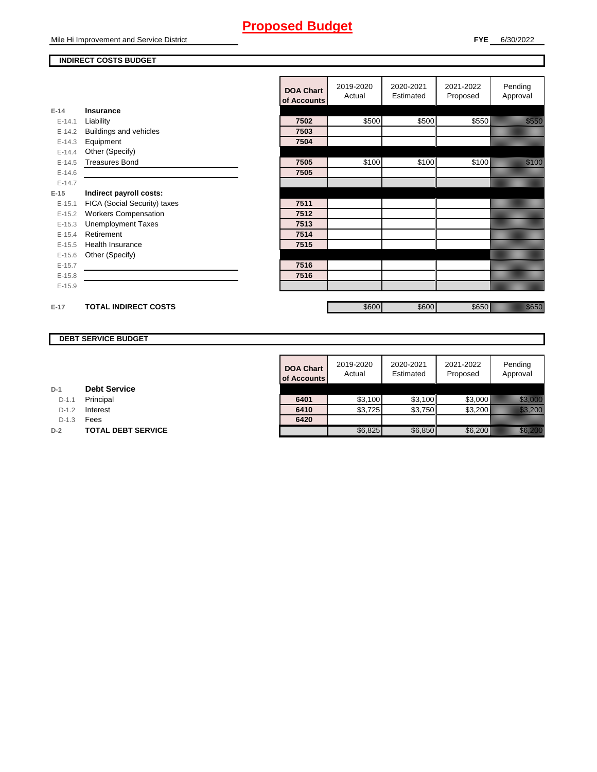## **INDIRECT COSTS BUDGET**

|          |                              | <b>DOA Chart</b><br>of Accounts | 2019-2020<br>Actual | 2020-2021<br>Estimated | 2021-2022<br>Proposed | Pending<br>Approval |
|----------|------------------------------|---------------------------------|---------------------|------------------------|-----------------------|---------------------|
| $E-14$   | <b>Insurance</b>             |                                 |                     |                        |                       |                     |
| $E-14.1$ | Liability                    | 7502                            | \$500               | \$500                  | \$550                 | <u>in Mariti II</u> |
| $E-14.2$ | Buildings and vehicles       | 7503                            |                     |                        |                       |                     |
| $E-14.3$ | Equipment                    | 7504                            |                     |                        |                       |                     |
| $E-14.4$ | Other (Specify)              |                                 |                     |                        |                       |                     |
| $E-14.5$ | <b>Treasures Bond</b>        | 7505                            | \$100               | \$100                  | \$100                 | <u>ti ka</u>        |
| $E-14.6$ |                              | 7505                            |                     |                        |                       |                     |
| $E-14.7$ |                              |                                 |                     |                        |                       |                     |
| $E-15$   | Indirect payroll costs:      |                                 |                     |                        |                       |                     |
| $E-15.1$ | FICA (Social Security) taxes | 7511                            |                     |                        |                       |                     |
| $E-15.2$ | <b>Workers Compensation</b>  | 7512                            |                     |                        |                       |                     |
| $E-15.3$ | <b>Unemployment Taxes</b>    | 7513                            |                     |                        |                       |                     |
| $E-15.4$ | Retirement                   | 7514                            |                     |                        |                       |                     |
| $E-15.5$ | Health Insurance             | 7515                            |                     |                        |                       |                     |
| $E-15.6$ | Other (Specify)              |                                 |                     |                        |                       |                     |
| $E-15.7$ |                              | 7516                            |                     |                        |                       |                     |
| $E-15.8$ |                              | 7516                            |                     |                        |                       |                     |
| $E-15.9$ |                              |                                 |                     |                        |                       |                     |
|          |                              |                                 |                     |                        |                       |                     |
| $E-17$   | <b>TOTAL INDIRECT COSTS</b>  |                                 | \$600               | \$600                  | \$650                 | <u>ti ka</u>        |

## **DEBT SERVICE BUDGET**

| <b>DOA Chart</b><br>of Accounts | 2019-2020<br>Actual | 2020-2021<br>Estimated | 2021-2022<br>Proposed | Pending<br>Approval |
|---------------------------------|---------------------|------------------------|-----------------------|---------------------|
|                                 |                     |                        |                       |                     |
| 6401                            | \$3,100             | \$3,100                | \$3,000               |                     |
| 6410                            | \$3,725             | \$3,750                | \$3,200               |                     |
| 6420                            |                     |                        |                       |                     |
|                                 | \$6,825             | \$6,850                | \$6.200               |                     |

| D-1 | <b>Debt Service</b> |
|-----|---------------------|

D-1.1 **Principal** 

**D-1.2 Interest** 

D-1.3 **Fees** 

**D-2 TOTAL DEBT SERVICE**